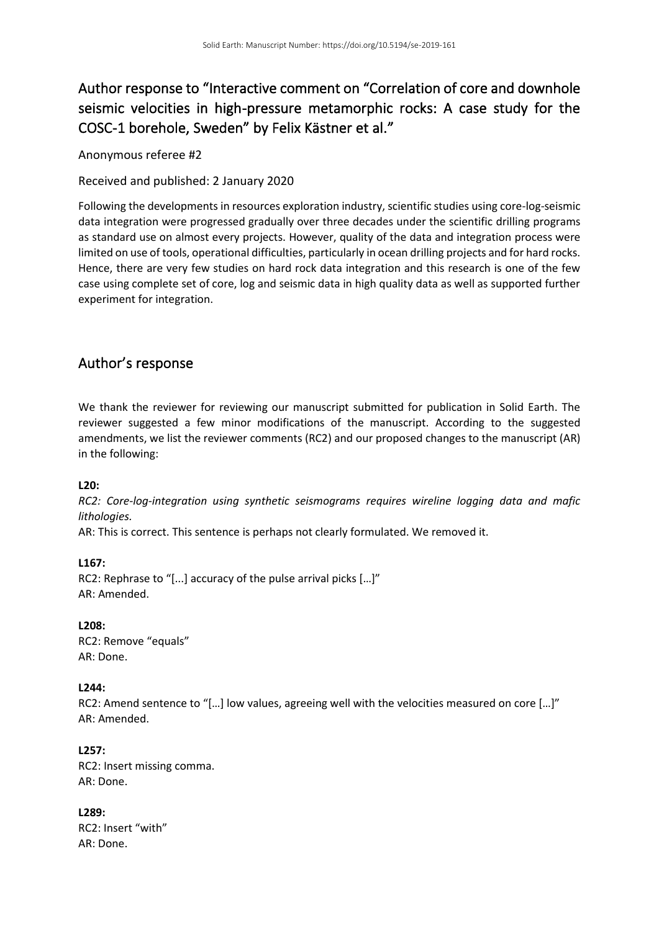# Author response to "Interactive comment on "Correlation of core and downhole seismic velocities in high-pressure metamorphic rocks: A case study for the COSC-1 borehole, Sweden" by Felix Kästner et al."

Anonymous referee #2

Received and published: 2 January 2020

Following the developments in resources exploration industry, scientific studies using core-log-seismic data integration were progressed gradually over three decades under the scientific drilling programs as standard use on almost every projects. However, quality of the data and integration process were limited on use of tools, operational difficulties, particularly in ocean drilling projects and for hard rocks. Hence, there are very few studies on hard rock data integration and this research is one of the few case using complete set of core, log and seismic data in high quality data as well as supported further experiment for integration.

# Author's response

We thank the reviewer for reviewing our manuscript submitted for publication in Solid Earth. The reviewer suggested a few minor modifications of the manuscript. According to the suggested amendments, we list the reviewer comments (RC2) and our proposed changes to the manuscript (AR) in the following:

**L20:**

*RC2: Core-log-integration using synthetic seismograms requires wireline logging data and mafic lithologies.*

AR: This is correct. This sentence is perhaps not clearly formulated. We removed it.

**L167:** RC2: Rephrase to "[...] accuracy of the pulse arrival picks […]" AR: Amended.

**L208:** RC2: Remove "equals" AR: Done.

#### **L244:**

RC2: Amend sentence to "[…] low values, agreeing well with the velocities measured on core […]" AR: Amended.

**L257:** RC2: Insert missing comma. AR: Done.

**L289:** RC2: Insert "with" AR: Done.